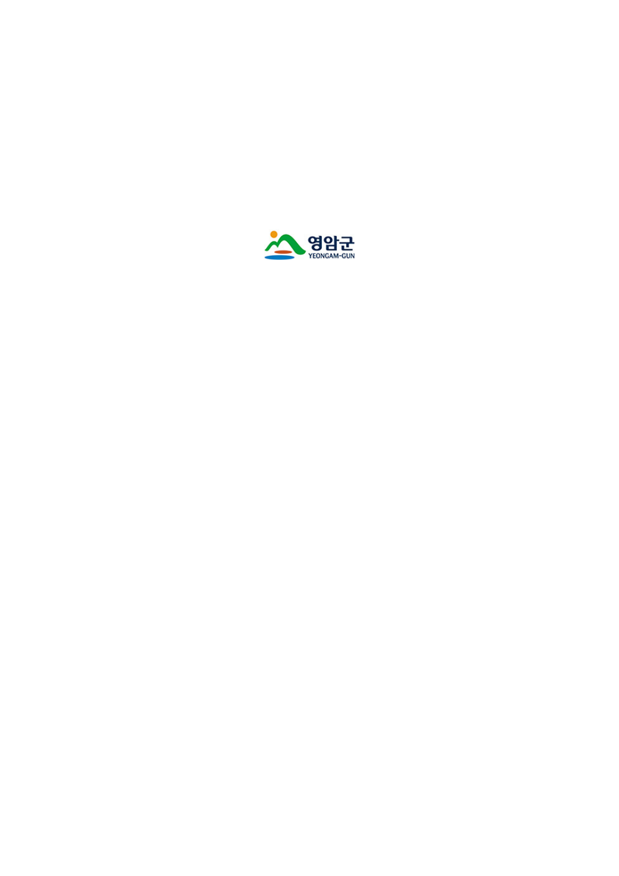